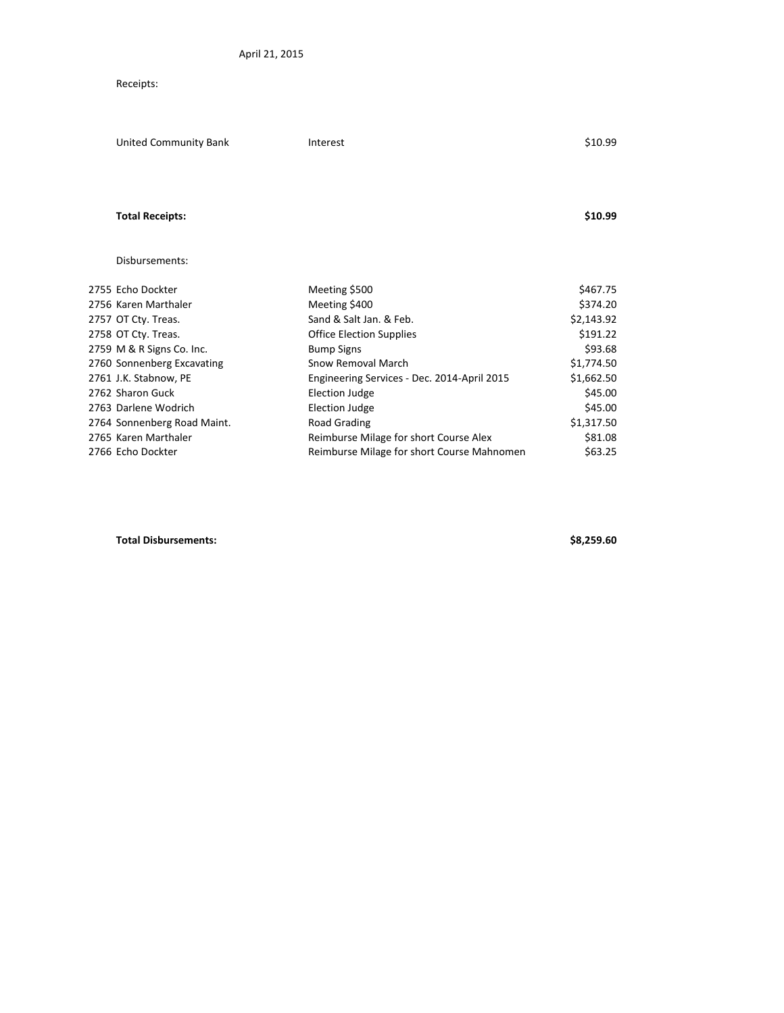## Receipts:

| United Community Bank       | Interest                                    | \$10.99                        |
|-----------------------------|---------------------------------------------|--------------------------------|
|                             |                                             |                                |
|                             |                                             | \$10.99                        |
| Disbursements:              |                                             |                                |
| 2755 Echo Dockter           |                                             | \$467.75                       |
| 2756 Karen Marthaler        |                                             | \$374.20                       |
| 2757 OT Cty. Treas.         | Sand & Salt Jan. & Feb.                     | \$2,143.92                     |
| 2758 OT Cty. Treas.         | <b>Office Election Supplies</b>             | \$191.22                       |
| 2759 M & R Signs Co. Inc.   | <b>Bump Signs</b>                           | \$93.68                        |
| 2760 Sonnenberg Excavating  | Snow Removal March                          | \$1,774.50                     |
| 2761 J.K. Stabnow, PE       | Engineering Services - Dec. 2014-April 2015 | \$1,662.50                     |
| 2762 Sharon Guck            | Election Judge                              | \$45.00                        |
| 2763 Darlene Wodrich        | <b>Election Judge</b>                       | \$45.00                        |
| 2764 Sonnenberg Road Maint. | Road Grading                                | \$1,317.50                     |
| 2765 Karen Marthaler        | Reimburse Milage for short Course Alex      | \$81.08                        |
| 2766 Echo Dockter           | Reimburse Milage for short Course Mahnomen  | \$63.25                        |
|                             | <b>Total Receipts:</b>                      | Meeting \$500<br>Meeting \$400 |

**Total Disbursements: \$8,259.60**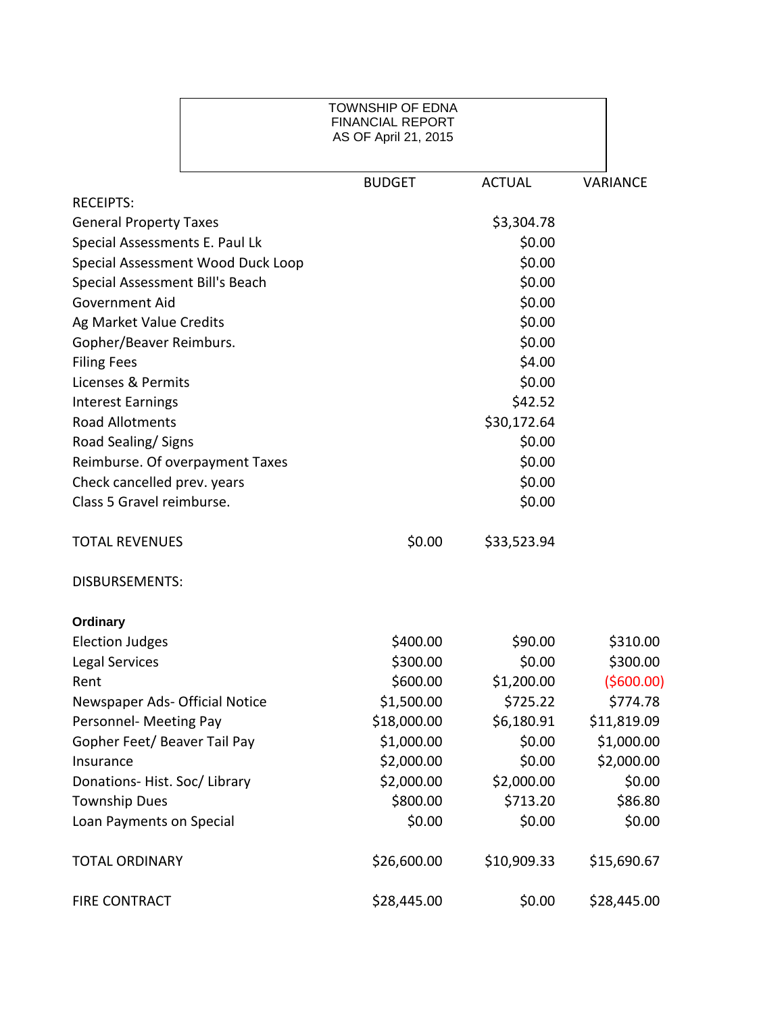|                                 |                                   | <b>TOWNSHIP OF EDNA</b><br><b>FINANCIAL REPORT</b><br>AS OF April 21, 2015 |               |                 |
|---------------------------------|-----------------------------------|----------------------------------------------------------------------------|---------------|-----------------|
|                                 |                                   | <b>BUDGET</b>                                                              | <b>ACTUAL</b> | <b>VARIANCE</b> |
| <b>RECEIPTS:</b>                |                                   |                                                                            |               |                 |
| <b>General Property Taxes</b>   |                                   |                                                                            | \$3,304.78    |                 |
| Special Assessments E. Paul Lk  |                                   |                                                                            | \$0.00        |                 |
|                                 | Special Assessment Wood Duck Loop |                                                                            | \$0.00        |                 |
| Special Assessment Bill's Beach |                                   |                                                                            | \$0.00        |                 |
| Government Aid                  |                                   |                                                                            | \$0.00        |                 |
| Ag Market Value Credits         |                                   |                                                                            | \$0.00        |                 |
| Gopher/Beaver Reimburs.         |                                   |                                                                            | \$0.00        |                 |
| <b>Filing Fees</b>              |                                   |                                                                            | \$4.00        |                 |
| Licenses & Permits              |                                   |                                                                            | \$0.00        |                 |
| <b>Interest Earnings</b>        |                                   |                                                                            | \$42.52       |                 |
| <b>Road Allotments</b>          |                                   |                                                                            | \$30,172.64   |                 |
| Road Sealing/ Signs             |                                   |                                                                            | \$0.00        |                 |
| Reimburse. Of overpayment Taxes |                                   |                                                                            | \$0.00        |                 |
| Check cancelled prev. years     |                                   |                                                                            | \$0.00        |                 |
| Class 5 Gravel reimburse.       |                                   |                                                                            | \$0.00        |                 |
| <b>TOTAL REVENUES</b>           |                                   | \$0.00                                                                     | \$33,523.94   |                 |
| <b>DISBURSEMENTS:</b>           |                                   |                                                                            |               |                 |
| Ordinary                        |                                   |                                                                            |               |                 |
| <b>Election Judges</b>          |                                   | \$400.00                                                                   | \$90.00       | \$310.00        |
| <b>Legal Services</b>           |                                   | \$300.00                                                                   | \$0.00        | \$300.00        |
| Rent                            |                                   | \$600.00                                                                   | \$1,200.00    | (5600.00)       |
| Newspaper Ads- Official Notice  |                                   | \$1,500.00                                                                 | \$725.22      | \$774.78        |
| Personnel- Meeting Pay          |                                   | \$18,000.00                                                                | \$6,180.91    | \$11,819.09     |
| Gopher Feet/ Beaver Tail Pay    |                                   | \$1,000.00                                                                 | \$0.00        | \$1,000.00      |
| Insurance                       |                                   | \$2,000.00                                                                 | \$0.00        | \$2,000.00      |
| Donations-Hist. Soc/Library     |                                   | \$2,000.00                                                                 | \$2,000.00    | \$0.00          |
| <b>Township Dues</b>            |                                   | \$800.00                                                                   | \$713.20      | \$86.80         |
| Loan Payments on Special        |                                   | \$0.00                                                                     | \$0.00        | \$0.00          |
| <b>TOTAL ORDINARY</b>           |                                   | \$26,600.00                                                                | \$10,909.33   | \$15,690.67     |
| <b>FIRE CONTRACT</b>            |                                   | \$28,445.00                                                                | \$0.00        | \$28,445.00     |